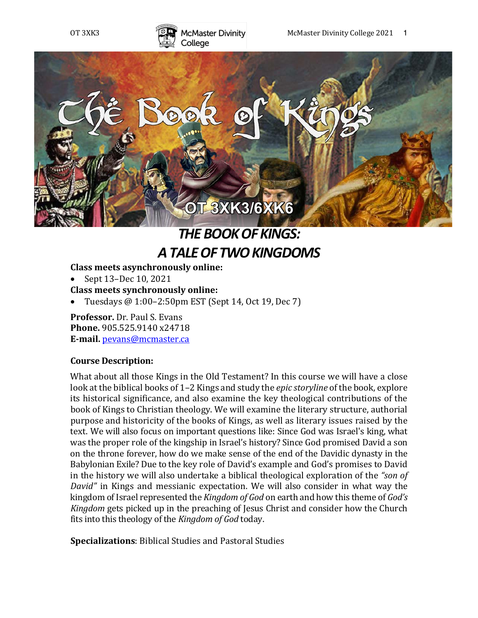



# *THE BOOK OF KINGS: A TALE OF TWO KINGDOMS*

## **Class meets asynchronously online:**

• Sept 13-Dec 10, 2021 **Class meets synchronously online:**

Tuesdays @ 1:00-2:50pm EST (Sept 14, Oct 19, Dec 7)

**Professor.** Dr. Paul S. Evans **Phone.** 905.525.9140 x24718 **E-mail.** pevans@mcmaster.ca

#### **Course Description:**

What about all those Kings in the Old Testament? In this course we will have a close look at the biblical books of 1–2 Kings and study the *epic storyline* of the book, explore its historical significance, and also examine the key theological contributions of the book of Kings to Christian theology. We will examine the literary structure, authorial purpose and historicity of the books of Kings, as well as literary issues raised by the text. We will also focus on important questions like: Since God was Israel's king, what was the proper role of the kingship in Israel's history? Since God promised David a son on the throne forever, how do we make sense of the end of the Davidic dynasty in the Babylonian Exile? Due to the key role of David's example and God's promises to David in the history we will also undertake a biblical theological exploration of the "son of *David"* in Kings and messianic expectation. We will also consider in what way the kingdom of Israel represented the *Kingdom of God* on earth and how this theme of *God's Kingdom* gets picked up in the preaching of Jesus Christ and consider how the Church fits into this theology of the *Kingdom of God* today.

**Specializations**: Biblical Studies and Pastoral Studies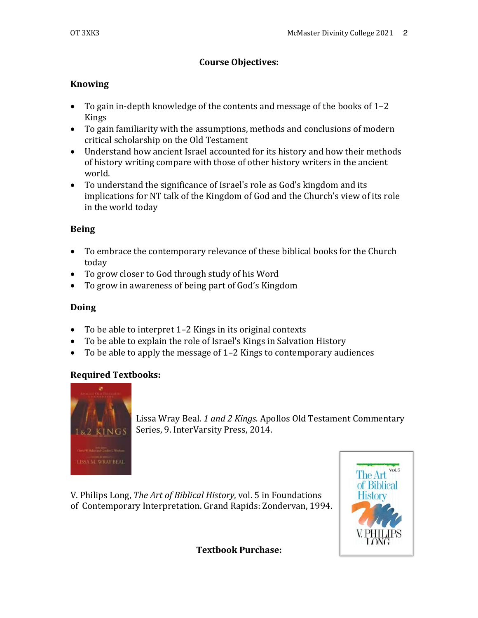## **Course Objectives:**

## **Knowing**

- To gain in-depth knowledge of the contents and message of the books of 1-2 Kings
- To gain familiarity with the assumptions, methods and conclusions of modern critical scholarship on the Old Testament
- Understand how ancient Israel accounted for its history and how their methods of history writing compare with those of other history writers in the ancient world.
- To understand the significance of Israel's role as God's kingdom and its implications for NT talk of the Kingdom of God and the Church's view of its role in the world today

## **Being**

- To embrace the contemporary relevance of these biblical books for the Church today
- To grow closer to God through study of his Word
- To grow in awareness of being part of God's Kingdom

## **Doing**

- To be able to interpret 1-2 Kings in its original contexts
- To be able to explain the role of Israel's Kings in Salvation History
- To be able to apply the message of  $1-2$  Kings to contemporary audiences

#### **Required Textbooks:**



Lissa Wray Beal. 1 and 2 Kings. Apollos Old Testament Commentary Series, 9. InterVarsity Press, 2014.

V. Philips Long, *The Art of Biblical History*, vol. 5 in Foundations of Contemporary Interpretation. Grand Rapids: Zondervan, 1994.



**Textbook Purchase:**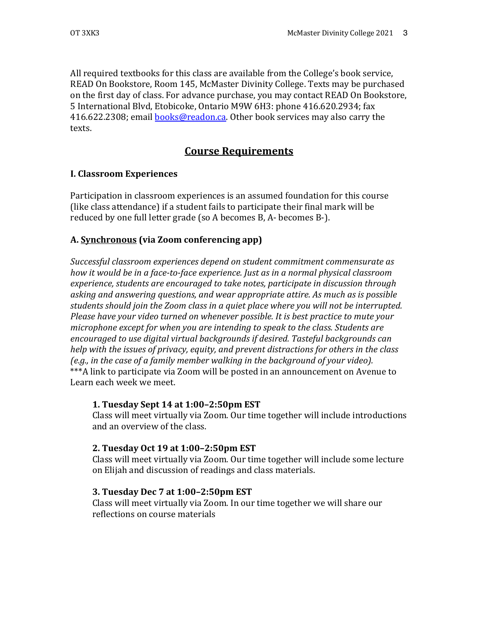All required textbooks for this class are available from the College's book service, READ On Bookstore, Room 145, McMaster Divinity College. Texts may be purchased on the first day of class. For advance purchase, you may contact READ On Bookstore, 5 International Blvd, Etobicoke, Ontario M9W 6H3: phone 416.620.2934; fax 416.622.2308; email **books@readon.ca.** Other book services may also carry the texts.

## **Course Requirements**

## **I. Classroom Experiences**

Participation in classroom experiences is an assumed foundation for this course (like class attendance) if a student fails to participate their final mark will be reduced by one full letter grade (so A becomes B, A- becomes B-).

## A. **Synchronous** (via Zoom conferencing app)

Successful classroom experiences depend on student commitment commensurate as *how it would be in a face-to-face experience. Just as in a normal physical classroom* experience, students are encouraged to take notes, participate in discussion through asking and answering questions, and wear appropriate attire. As much as is possible students should join the Zoom class in a quiet place where you will not be interrupted. *Please have your video turned on whenever possible. It is best practice to mute your microphone except for when you are intending to speak to the class. Students are* encouraged to use digital virtual backgrounds if desired. Tasteful backgrounds can *help* with the issues of privacy, equity, and prevent distractions for others in the class *(e.g.,* in the case of a family member walking in the background of your video). \*\*\*A link to participate via Zoom will be posted in an announcement on Avenue to Learn each week we meet.

#### **1. Tuesday Sept 14 at 1:00–2:50pm EST**

Class will meet virtually via Zoom. Our time together will include introductions and an overview of the class.

#### **2. Tuesday Oct 19 at 1:00–2:50pm EST**

Class will meet virtually via Zoom. Our time together will include some lecture on Elijah and discussion of readings and class materials.

#### **3. Tuesday Dec 7 at 1:00–2:50pm EST**

Class will meet virtually via Zoom. In our time together we will share our reflections on course materials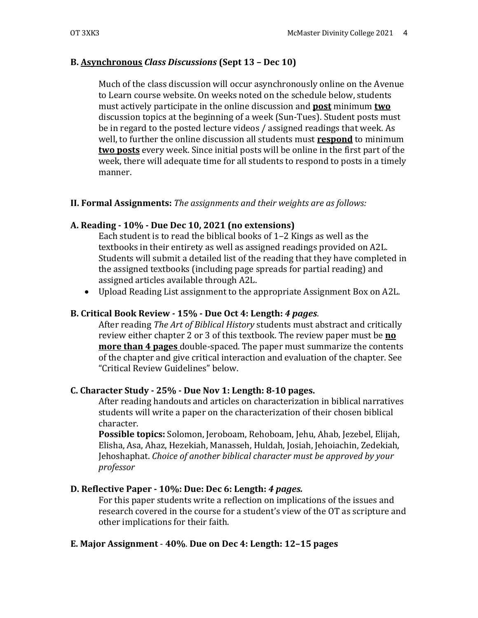## **B. Asynchronous** *Class Discussions* **(Sept 13 – Dec 10)**

Much of the class discussion will occur asynchronously online on the Avenue to Learn course website. On weeks noted on the schedule below, students must actively participate in the online discussion and **post** minimum **two** discussion topics at the beginning of a week (Sun-Tues). Student posts must be in regard to the posted lecture videos / assigned readings that week. As well, to further the online discussion all students must **respond** to minimum **two posts** every week. Since initial posts will be online in the first part of the week, there will adequate time for all students to respond to posts in a timely manner. 

## **II. Formal Assignments:** *The assignments and their weights are as follows:*

## **A. Reading - 10% - Due Dec 10, 2021 (no extensions)**

Each student is to read the biblical books of  $1-2$  Kings as well as the textbooks in their entirety as well as assigned readings provided on A2L. Students will submit a detailed list of the reading that they have completed in the assigned textbooks (including page spreads for partial reading) and assigned articles available through A2L.

• Upload Reading List assignment to the appropriate Assignment Box on A2L.

## **B. Critical Book Review** *-* **15% - Due Oct 4: Length:** *4 pages*.

After reading *The Art of Biblical History* students must abstract and critically review either chapter 2 or 3 of this textbook. The review paper must be **no more than 4 pages** double-spaced. The paper must summarize the contents of the chapter and give critical interaction and evaluation of the chapter. See "Critical Review Guidelines" below.

## **C. Character Study - 25% - Due Nov 1: Length: 8-10 pages.**

After reading handouts and articles on characterization in biblical narratives students will write a paper on the characterization of their chosen biblical character.

**Possible topics:** Solomon, Jeroboam, Rehoboam, Jehu, Ahab, Jezebel, Elijah, Elisha, Asa, Ahaz, Hezekiah, Manasseh, Huldah, Josiah, Jehoiachin, Zedekiah, Jehoshaphat. *Choice of another biblical character must be approved by your professor*

## **D. Reflective Paper - 10%: Due: Dec 6: Length:** *4 pages.*

For this paper students write a reflection on implications of the issues and research covered in the course for a student's view of the OT as scripture and other implications for their faith.

## **E. Major Assignment** - **40%**. **Due on Dec 4: Length: 12–15 pages**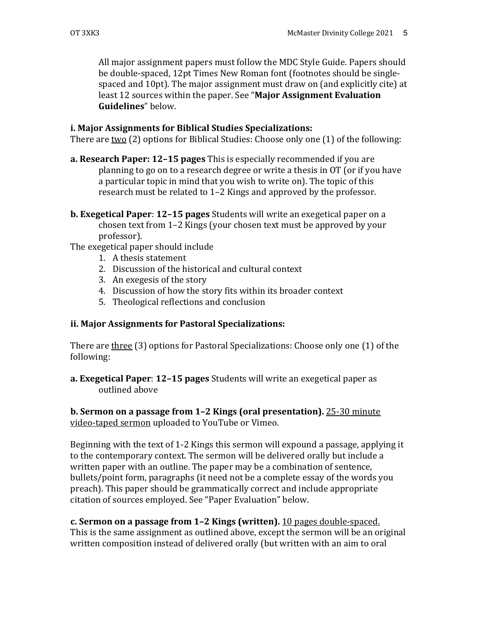All major assignment papers must follow the MDC Style Guide. Papers should be double-spaced, 12pt Times New Roman font (footnotes should be singlespaced and 10pt). The major assignment must draw on (and explicitly cite) at least 12 sources within the paper. See "Major Assignment Evaluation **Guidelines**" below.

#### **i. Major Assignments for Biblical Studies Specializations:**

There are two  $(2)$  options for Biblical Studies: Choose only one  $(1)$  of the following:

- **a. Research Paper: 12-15 pages** This is especially recommended if you are planning to go on to a research degree or write a thesis in OT (or if you have a particular topic in mind that you wish to write on). The topic of this research must be related to  $1-2$  Kings and approved by the professor.
- **b.** Exegetical Paper: 12-15 pages Students will write an exegetical paper on a chosen text from 1-2 Kings (your chosen text must be approved by your professor).

The exegetical paper should include

- 1. A thesis statement
- 2. Discussion of the historical and cultural context
- 3. An exegesis of the story
- 4. Discussion of how the story fits within its broader context
- 5. Theological reflections and conclusion

#### **ii. Major Assignments for Pastoral Specializations:**

There are three  $(3)$  options for Pastoral Specializations: Choose only one  $(1)$  of the following:

**a. Exegetical Paper**: **12–15 pages** Students will write an exegetical paper as outlined above

#### **b. Sermon on a passage from 1-2 Kings (oral presentation).** 25-30 minute video-taped sermon uploaded to YouTube or Vimeo.

Beginning with the text of 1-2 Kings this sermon will expound a passage, applying it to the contemporary context. The sermon will be delivered orally but include a written paper with an outline. The paper may be a combination of sentence, bullets/point form, paragraphs (it need not be a complete essay of the words you preach). This paper should be grammatically correct and include appropriate citation of sources employed. See "Paper Evaluation" below.

**c. Sermon on a passage from 1–2 Kings (written).** 10 pages double-spaced. This is the same assignment as outlined above, except the sermon will be an original written composition instead of delivered orally (but written with an aim to oral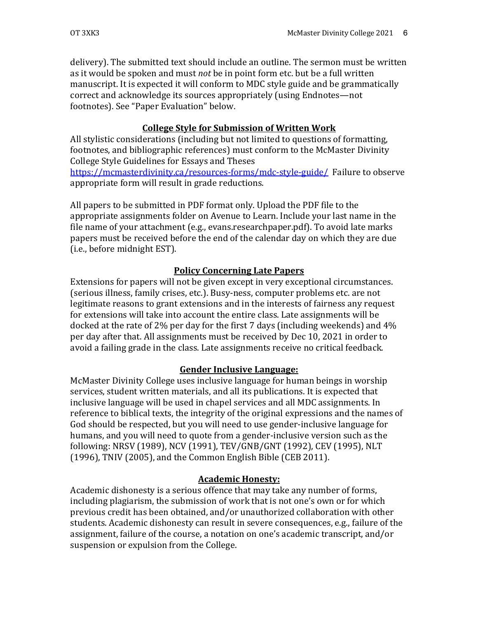delivery). The submitted text should include an outline. The sermon must be written as it would be spoken and must *not* be in point form etc. but be a full written manuscript. It is expected it will conform to MDC style guide and be grammatically correct and acknowledge its sources appropriately (using Endnotes—not footnotes). See "Paper Evaluation" below.

## **College Style for Submission of Written Work**

All stylistic considerations (including but not limited to questions of formatting, footnotes, and bibliographic references) must conform to the McMaster Divinity College Style Guidelines for Essays and Theses https://mcmasterdivinity.ca/resources-forms/mdc-style-guide/ Failure to observe appropriate form will result in grade reductions.

All papers to be submitted in PDF format only. Upload the PDF file to the appropriate assignments folder on Avenue to Learn. Include your last name in the file name of your attachment (e.g., evans.researchpaper.pdf). To avoid late marks papers must be received before the end of the calendar day on which they are due (i.e., before midnight EST).

## **Policy Concerning Late Papers**

Extensions for papers will not be given except in very exceptional circumstances. (serious illness, family crises, etc.). Busy-ness, computer problems etc. are not legitimate reasons to grant extensions and in the interests of fairness any request for extensions will take into account the entire class. Late assignments will be docked at the rate of 2% per day for the first 7 days (including weekends) and 4% per day after that. All assignments must be received by Dec 10, 2021 in order to avoid a failing grade in the class. Late assignments receive no critical feedback.

## **Gender Inclusive Language:**

McMaster Divinity College uses inclusive language for human beings in worship services, student written materials, and all its publications. It is expected that inclusive language will be used in chapel services and all MDC assignments. In reference to biblical texts, the integrity of the original expressions and the names of God should be respected, but you will need to use gender-inclusive language for humans, and you will need to quote from a gender-inclusive version such as the following: NRSV (1989), NCV (1991), TEV/GNB/GNT (1992), CEV (1995), NLT  $(1996)$ , TNIV  $(2005)$ , and the Common English Bible  $(CEB 2011)$ .

## **Academic Honesty:**

Academic dishonesty is a serious offence that may take any number of forms, including plagiarism, the submission of work that is not one's own or for which previous credit has been obtained, and/or unauthorized collaboration with other students. Academic dishonesty can result in severe consequences, e.g., failure of the assignment, failure of the course, a notation on one's academic transcript, and/or suspension or expulsion from the College.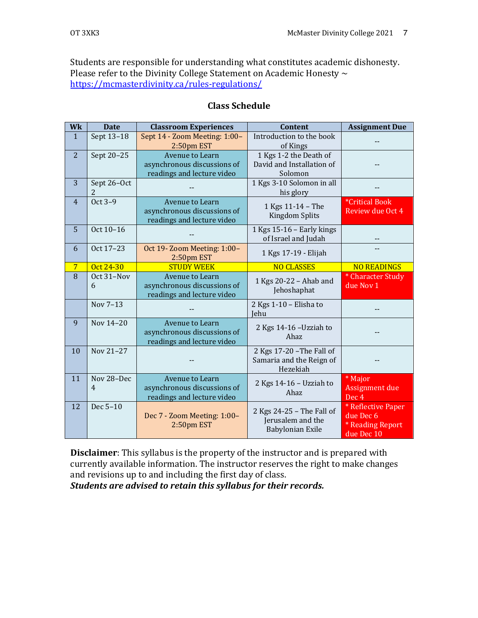Students are responsible for understanding what constitutes academic dishonesty. Please refer to the Divinity College Statement on Academic Honesty  $\sim$ https://mcmasterdivinity.ca/rules-regulations/

| Wk              | <b>Date</b>                  | <b>Classroom Experiences</b>                                                        | <b>Content</b>                                                     | <b>Assignment Due</b>                                             |  |  |
|-----------------|------------------------------|-------------------------------------------------------------------------------------|--------------------------------------------------------------------|-------------------------------------------------------------------|--|--|
| $\mathbf{1}$    | Sept 13-18                   | Sept 14 - Zoom Meeting: 1:00-<br>2:50pm EST                                         | Introduction to the book<br>of Kings                               |                                                                   |  |  |
| 2               | Sept 20-25                   | <b>Avenue to Learn</b><br>asynchronous discussions of<br>readings and lecture video | 1 Kgs 1-2 the Death of<br>David and Installation of<br>Solomon     |                                                                   |  |  |
| 3               | Sept 26-Oct<br>2             |                                                                                     | 1 Kgs 3-10 Solomon in all<br>his glory                             |                                                                   |  |  |
| $\overline{4}$  | Oct 3-9                      | Avenue to Learn<br>asynchronous discussions of<br>readings and lecture video        | 1 Kgs 11-14 - The<br><b>Kingdom Splits</b>                         | <i><b>*Critical Book</b></i><br>Review due Oct 4                  |  |  |
| $\overline{5}$  | Oct 10-16                    |                                                                                     | 1 Kgs 15-16 - Early kings<br>of Israel and Judah                   |                                                                   |  |  |
| 6               | Oct 17-23                    | Oct 19-Zoom Meeting: 1:00-<br>2:50pm EST                                            | 1 Kgs 17-19 - Elijah                                               |                                                                   |  |  |
| $7\phantom{.0}$ | Oct 24-30                    | <b>STUDY WEEK</b>                                                                   | <b>NO CLASSES</b>                                                  | <b>NO READINGS</b>                                                |  |  |
| 8               | Oct 31-Nov<br>6              | <b>Avenue to Learn</b><br>asynchronous discussions of<br>readings and lecture video | 1 Kgs 20-22 - Ahab and<br>Jehoshaphat                              | * Character Study<br>due Nov 1                                    |  |  |
|                 | Nov 7-13                     |                                                                                     | 2 Kgs 1-10 - Elisha to<br>Jehu                                     |                                                                   |  |  |
| 9               | Nov 14-20                    | Avenue to Learn<br>asynchronous discussions of<br>readings and lecture video        | 2 Kgs 14-16 - Uzziah to<br>Ahaz                                    |                                                                   |  |  |
| 10              | Nov 21-27                    |                                                                                     | 2 Kgs 17-20 - The Fall of<br>Samaria and the Reign of<br>Hezekiah  |                                                                   |  |  |
| 11              | Nov 28-Dec<br>$\overline{4}$ | Avenue to Learn<br>asynchronous discussions of<br>readings and lecture video        | 2 Kgs 14-16 - Uzziah to<br>Ahaz                                    | * Major<br>Assignment due<br>Dec <sub>4</sub>                     |  |  |
| 12              | Dec 5-10                     | Dec 7 - Zoom Meeting: 1:00-<br>2:50pm EST                                           | 2 Kgs 24-25 - The Fall of<br>Jerusalem and the<br>Babylonian Exile | * Reflective Paper<br>due Dec 6<br>* Reading Report<br>due Dec 10 |  |  |

#### **Class Schedule**

**Disclaimer**: This syllabus is the property of the instructor and is prepared with currently available information. The instructor reserves the right to make changes and revisions up to and including the first day of class.

**Students are advised to retain this syllabus for their records.**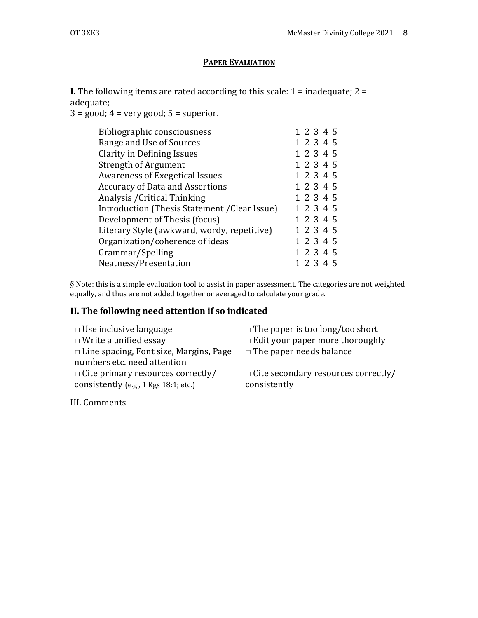#### **PAPER EVALUATION**

**I.** The following items are rated according to this scale:  $1 =$  inadequate;  $2 =$ adequate; 

 $3 = \text{good}$ ;  $4 = \text{very good}$ ;  $5 = \text{superior}$ .

| Bibliographic consciousness                   | 1 2 3 4 5 |
|-----------------------------------------------|-----------|
| Range and Use of Sources                      | 1 2 3 4 5 |
| <b>Clarity in Defining Issues</b>             | 1 2 3 4 5 |
| <b>Strength of Argument</b>                   | 1 2 3 4 5 |
| <b>Awareness of Exegetical Issues</b>         | 1 2 3 4 5 |
| <b>Accuracy of Data and Assertions</b>        | 1 2 3 4 5 |
| Analysis / Critical Thinking                  | 1 2 3 4 5 |
| Introduction (Thesis Statement / Clear Issue) | 1 2 3 4 5 |
| Development of Thesis (focus)                 | 1 2 3 4 5 |
| Literary Style (awkward, wordy, repetitive)   | 1 2 3 4 5 |
| Organization/coherence of ideas               | 1 2 3 4 5 |
| Grammar/Spelling                              | 1 2 3 4 5 |
| Neatness/Presentation                         | 1 2 3 4 5 |
|                                               |           |

§ Note: this is a simple evaluation tool to assist in paper assessment. The categories are not weighted equally, and thus are not added together or averaged to calculate your grade.

## **II. The following need attention if so indicated**

| $\Box$ Use inclusive language                 | $\Box$ The paper is too long/too short     |  |  |
|-----------------------------------------------|--------------------------------------------|--|--|
| $\Box$ Write a unified essay                  | $\Box$ Edit your paper more thoroughly     |  |  |
| $\Box$ Line spacing, Font size, Margins, Page | $\Box$ The paper needs balance             |  |  |
| numbers etc. need attention                   |                                            |  |  |
| $\Box$ Cite primary resources correctly/      | $\Box$ Cite secondary resources correctly/ |  |  |
| consistently (e.g., 1 Kgs 18:1; etc.)         | consistently                               |  |  |
|                                               |                                            |  |  |

III. Comments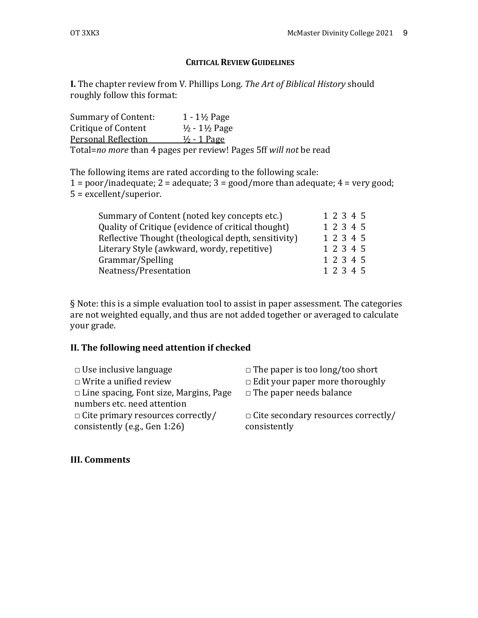### **CRITICAL REVIEW GUIDELINES**

**I.** The chapter review from V. Phillips Long. The Art of Biblical History should roughly follow this format:

Summary of Content:  $1 - 1\frac{1}{2}$  Page Critique of Content  $\frac{1}{2}$  - 1½ Page Personal Reflection  $\frac{1}{2}$  - 1 Page Total=no more than 4 pages per review! Pages 5ff will not be read

The following items are rated according to the following scale:  $1 =$  poor/inadequate;  $2 =$  adequate;  $3 =$  good/more than adequate;  $4 =$  very good;  $5 =$  excellent/superior.

| Summary of Content (noted key concepts etc.)        |           | 1 2 3 4 5 |  |  |
|-----------------------------------------------------|-----------|-----------|--|--|
| Quality of Critique (evidence of critical thought)  |           | 1 2 3 4 5 |  |  |
| Reflective Thought (theological depth, sensitivity) |           | 1 2 3 4 5 |  |  |
| Literary Style (awkward, wordy, repetitive)         |           | 1 2 3 4 5 |  |  |
| Grammar/Spelling                                    |           | 1 2 3 4 5 |  |  |
| Neatness/Presentation                               | 1 2 3 4 5 |           |  |  |

 $§$  Note: this is a simple evaluation tool to assist in paper assessment. The categories are not weighted equally, and thus are not added together or averaged to calculate your grade.

#### **II. The following need attention if checked**

| $\Box$ Use inclusive language                                                | $\Box$ The paper is too long/too short                     |  |  |
|------------------------------------------------------------------------------|------------------------------------------------------------|--|--|
| $\Box$ Write a unified review                                                | $\Box$ Edit your paper more thoroughly                     |  |  |
| $\Box$ Line spacing, Font size, Margins, Page<br>numbers etc. need attention | $\Box$ The paper needs balance                             |  |  |
| $\Box$ Cite primary resources correctly/<br>consistently (e.g., Gen 1:26)    | $\Box$ Cite secondary resources correctly/<br>consistently |  |  |

#### **III. Comments**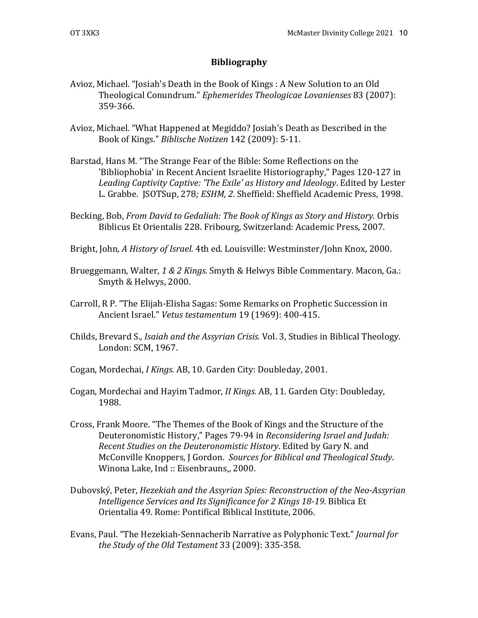#### **Bibliography**

- Avioz, Michael. "Josiah's Death in the Book of Kings : A New Solution to an Old Theological Conundrum." *Ephemerides Theologicae Lovanienses* 83 (2007): 359-366.
- Avioz, Michael. "What Happened at Megiddo? Josiah's Death as Described in the Book of Kings." *Biblische Notizen* 142 (2009): 5-11.
- Barstad, Hans M. "The Strange Fear of the Bible: Some Reflections on the 'Bibliophobia' in Recent Ancient Israelite Historiography," Pages 120-127 in Leading Captivity Captive: 'The Exile' as History and Ideology. Edited by Lester L. Grabbe. JSOTSup, 278; ESHM, 2. Sheffield: Sheffield Academic Press, 1998.
- Becking, Bob, *From David to Gedaliah: The Book of Kings as Story and History.* Orbis Biblicus Et Orientalis 228. Fribourg, Switzerland: Academic Press, 2007.
- Bright, John, *A History of Israel.* 4th ed. Louisville: Westminster/John Knox, 2000.
- Brueggemann, Walter, 1 & 2 Kings. Smyth & Helwys Bible Commentary. Macon, Ga.: Smyth & Helwys, 2000.
- Carroll, R P. "The Elijah-Elisha Sagas: Some Remarks on Prophetic Succession in Ancient Israel." *Vetus testamentum* 19 (1969): 400-415.
- Childs, Brevard S., *Isaiah and the Assyrian Crisis.* Vol. 3, Studies in Biblical Theology. London: SCM, 1967.
- Cogan, Mordechai, *I Kings.* AB, 10. Garden City: Doubleday, 2001.
- Cogan, Mordechai and Hayim Tadmor, *II Kings.* AB, 11. Garden City: Doubleday, 1988.
- Cross, Frank Moore. "The Themes of the Book of Kings and the Structure of the Deuteronomistic History," Pages 79-94 in *Reconsidering Israel and Judah: Recent Studies on the Deuteronomistic History*. Edited by Gary N. and McConville Knoppers, J Gordon. Sources for Biblical and Theological Study. Winona Lake, Ind :: Eisenbrauns,, 2000.
- Dubovský, Peter, *Hezekiah and the Assyrian Spies: Reconstruction of the Neo-Assyrian Intelligence Services and Its Significance for 2 Kings 18-19. Biblica Et* Orientalia 49. Rome: Pontifical Biblical Institute, 2006.
- Evans, Paul. "The Hezekiah-Sennacherib Narrative as Polyphonic Text." *Journal for the Study of the Old Testament* 33 (2009): 335-358.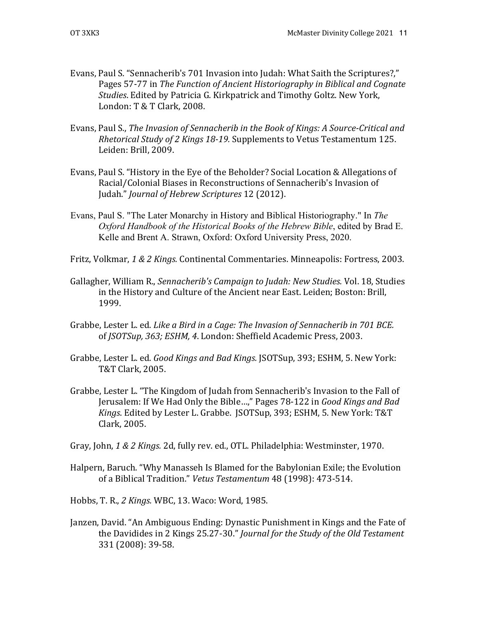- Evans, Paul S. "Sennacherib's 701 Invasion into Judah: What Saith the Scriptures?," Pages 57-77 in *The Function of Ancient Historiography in Biblical and Cognate* Studies. Edited by Patricia G. Kirkpatrick and Timothy Goltz. New York, London: T & T Clark, 2008.
- Evans, Paul S., *The Invasion of Sennacherib in the Book of Kings: A Source-Critical and Rhetorical Study of 2 Kings 18-19.* Supplements to Vetus Testamentum 125. Leiden: Brill, 2009.
- Evans, Paul S. "History in the Eye of the Beholder? Social Location & Allegations of Racial/Colonial Biases in Reconstructions of Sennacherib's Invasion of Judah." *Journal of Hebrew Scriptures* 12 (2012).
- Evans, Paul S. "The Later Monarchy in History and Biblical Historiography." In *The Oxford Handbook of the Historical Books of the Hebrew Bible*, edited by Brad E. Kelle and Brent A. Strawn, Oxford: Oxford University Press, 2020.
- Fritz, Volkmar, 1 & 2 *Kings.* Continental Commentaries. Minneapolis: Fortress, 2003.
- Gallagher, William R., *Sennacherib's Campaign to Judah: New Studies*. Vol. 18, Studies in the History and Culture of the Ancient near East. Leiden; Boston: Brill, 1999.
- Grabbe, Lester L. ed. *Like a Bird in a Cage: The Invasion of Sennacherib in 701 BCE.* of *JSOTSup, 363; ESHM, 4*. London: Sheffield Academic Press, 2003.
- Grabbe, Lester L. ed. *Good Kings and Bad Kings.* [SOTSup, 393; ESHM, 5. New York: T&T Clark, 2005.
- Grabbe, Lester L. "The Kingdom of Judah from Sennacherib's Invasion to the Fall of Jerusalem: If We Had Only the Bible...," Pages 78-122 in *Good Kings and Bad Kings*. Edited by Lester L. Grabbe. *JSOTSup, 393; ESHM, 5. New York: T&T* Clark, 2005.
- Gray, John, 1 & 2 Kings. 2d, fully rev. ed., OTL. Philadelphia: Westminster, 1970.
- Halpern, Baruch. "Why Manasseh Is Blamed for the Babylonian Exile; the Evolution of a Biblical Tradition." Vetus Testamentum 48 (1998): 473-514.
- Hobbs, T. R., 2 Kings. WBC, 13. Waco: Word, 1985.
- Janzen, David. "An Ambiguous Ending: Dynastic Punishment in Kings and the Fate of the Davidides in 2 Kings 25.27-30." *Journal for the Study of the Old Testament* 331 (2008): 39-58.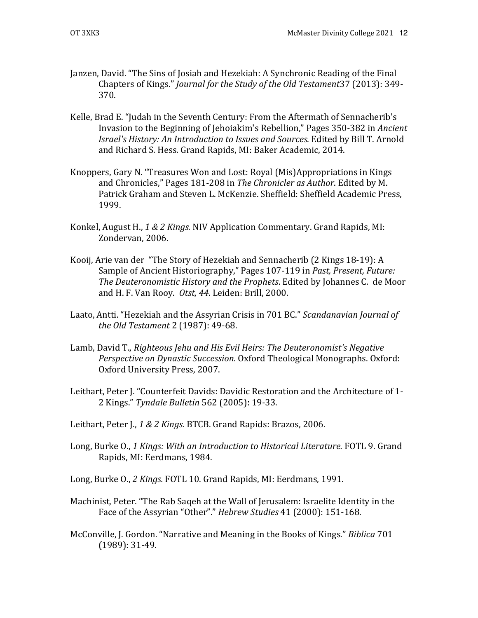- Janzen, David. "The Sins of Josiah and Hezekiah: A Synchronic Reading of the Final Chapters of Kings." *Journal for the Study of the Old Testament* 37 (2013): 349-370.
- Kelle, Brad E. "Judah in the Seventh Century: From the Aftermath of Sennacherib's Invasion to the Beginning of Jehoiakim's Rebellion," Pages 350-382 in *Ancient Israel's History: An Introduction to Issues and Sources*. Edited by Bill T. Arnold and Richard S. Hess. Grand Rapids, MI: Baker Academic, 2014.
- Knoppers, Gary N. "Treasures Won and Lost: Royal (Mis)Appropriations in Kings and Chronicles," Pages 181-208 in *The Chronicler as Author*. Edited by M. Patrick Graham and Steven L. McKenzie. Sheffield: Sheffield Academic Press, 1999.
- Konkel, August H., 1 & 2 Kings. NIV Application Commentary. Grand Rapids, MI: Zondervan, 2006.
- Kooij, Arie van der "The Story of Hezekiah and Sennacherib (2 Kings 18-19): A Sample of Ancient Historiography," Pages 107-119 in *Past, Present, Future: The Deuteronomistic History and the Prophets*. Edited by Johannes C. de Moor and H. F. Van Rooy. Otst, 44. Leiden: Brill, 2000.
- Laato, Antti. "Hezekiah and the Assyrian Crisis in 701 BC." *Scandanavian Journal of the Old Testament* 2 (1987): 49-68.
- Lamb, David T., *Righteous Jehu and His Evil Heirs: The Deuteronomist's Negative Perspective on Dynastic Succession.* Oxford Theological Monographs. Oxford: Oxford University Press, 2007.
- Leithart, Peter J. "Counterfeit Davids: Davidic Restoration and the Architecture of 1-2 Kings." *Tyndale Bulletin* 562 (2005): 19-33.
- Leithart, Peter J., 1 & 2 Kings. BTCB. Grand Rapids: Brazos, 2006.
- Long, Burke O., 1 Kings: With an Introduction to Historical Literature. FOTL 9. Grand Rapids, MI: Eerdmans, 1984.
- Long, Burke O., 2 Kings. FOTL 10. Grand Rapids, MI: Eerdmans, 1991.
- Machinist, Peter. "The Rab Saqeh at the Wall of Jerusalem: Israelite Identity in the Face of the Assyrian "Other"." *Hebrew Studies* 41 (2000): 151-168.
- McConville, J. Gordon. "Narrative and Meaning in the Books of Kings." *Biblica* 701  $(1989): 31-49.$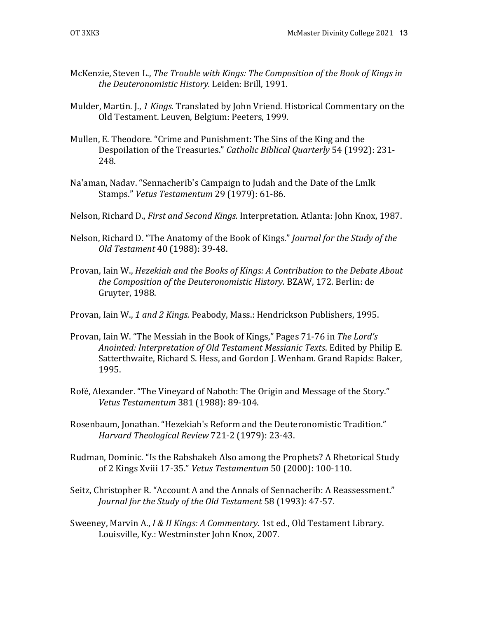- McKenzie, Steven L., *The Trouble with Kings: The Composition of the Book of Kings in* the Deuteronomistic History. Leiden: Brill, 1991.
- Mulder, Martin. J., 1 *Kings.* Translated by John Vriend. Historical Commentary on the Old Testament. Leuven, Belgium: Peeters, 1999.
- Mullen, E. Theodore. "Crime and Punishment: The Sins of the King and the Despoilation of the Treasuries." *Catholic Biblical Quarterly* 54 (1992): 231-248.
- Na'aman, Nadav. "Sennacherib's Campaign to Judah and the Date of the Lmlk Stamps." *Vetus Testamentum* 29 (1979): 61-86.
- Nelson, Richard D., *First and Second Kings.* Interpretation. Atlanta: John Knox, 1987.
- Nelson, Richard D. "The Anatomy of the Book of Kings." *Journal for the Study of the Old Testament* 40 (1988): 39-48.
- Provan, Iain W., *Hezekiah and the Books of Kings: A Contribution to the Debate About* the Composition of the Deuteronomistic History. BZAW, 172. Berlin: de Gruyter, 1988.
- Provan, Iain W., 1 and 2 Kings. Peabody, Mass.: Hendrickson Publishers, 1995.
- Provan, Iain W. "The Messiah in the Book of Kings," Pages 71-76 in The Lord's Anointed: Interpretation of Old Testament Messianic Texts. Edited by Philip E. Satterthwaite, Richard S. Hess, and Gordon J. Wenham. Grand Rapids: Baker, 1995.
- Rofé, Alexander. "The Vineyard of Naboth: The Origin and Message of the Story." *Vetus Testamentum* 381 (1988): 89-104.
- Rosenbaum, Jonathan. "Hezekiah's Reform and the Deuteronomistic Tradition." *Harvard Theological Review* 721-2 (1979): 23-43.
- Rudman, Dominic. "Is the Rabshakeh Also among the Prophets? A Rhetorical Study of 2 Kings Xviii 17-35." *Vetus Testamentum* 50 (2000): 100-110.
- Seitz, Christopher R. "Account A and the Annals of Sennacherib: A Reassessment." Journal for the Study of the Old Testament 58 (1993): 47-57.
- Sweeney, Marvin A., *I & II Kings: A Commentary.* 1st ed., Old Testament Library. Louisville, Ky.: Westminster John Knox, 2007.